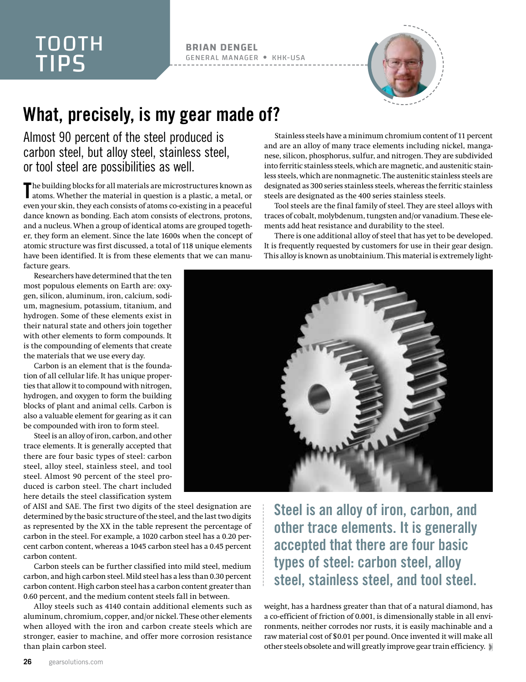## TOOTH TIPS

## **BRIAN DENGEL** GENERAL MANAGER KHK-USA



## What, precisely, is my gear made of?

## Almost 90 percent of the steel produced is carbon steel, but alloy steel, stainless steel, or tool steel are possibilities as well.

The building blocks for all materials are microstructures known as atoms. Whether the material in question is a plastic, a metal, or atoms. Whether the material in question is a plastic, a metal, or even your skin, they each consists of atoms co-existing in a peaceful dance known as bonding. Each atom consists of electrons, protons, and a nucleus. When a group of identical atoms are grouped together, they form an element. Since the late 1600s when the concept of atomic structure was first discussed, a total of 118 unique elements have been identified. It is from these elements that we can manufacture gears.

Researchers have determined that the ten most populous elements on Earth are: oxygen, silicon, aluminum, iron, calcium, sodium, magnesium, potassium, titanium, and hydrogen. Some of these elements exist in their natural state and others join together with other elements to form compounds. It is the compounding of elements that create the materials that we use every day.

Carbon is an element that is the foundation of all cellular life. It has unique properties that allow it to compound with nitrogen, hydrogen, and oxygen to form the building blocks of plant and animal cells. Carbon is also a valuable element for gearing as it can be compounded with iron to form steel.

Steel is an alloy of iron, carbon, and other trace elements. It is generally accepted that there are four basic types of steel: carbon steel, alloy steel, stainless steel, and tool steel. Almost 90 percent of the steel produced is carbon steel. The chart included here details the steel classification system

of AISI and SAE. The first two digits of the steel designation are determined by the basic structure of the steel, and the last two digits as represented by the XX in the table represent the percentage of carbon in the steel. For example, a 1020 carbon steel has a 0.20 percent carbon content, whereas a 1045 carbon steel has a 0.45 percent carbon content.

Carbon steels can be further classified into mild steel, medium carbon, and high carbon steel. Mild steel has a less than 0.30 percent carbon content. High carbon steel has a carbon content greater than 0.60 percent, and the medium content steels fall in between.

Alloy steels such as 4140 contain additional elements such as aluminum, chromium, copper, and/or nickel. These other elements when alloyed with the iron and carbon create steels which are stronger, easier to machine, and offer more corrosion resistance than plain carbon steel.

Stainless steels have a minimum chromium content of 11 percent and are an alloy of many trace elements including nickel, manganese, silicon, phosphorus, sulfur, and nitrogen. They are subdivided into ferritic stainless steels, which are magnetic, and austenitic stainless steels, which are nonmagnetic. The austenitic stainless steels are designated as 300 series stainless steels, whereas the ferritic stainless steels are designated as the 400 series stainless steels.

Tool steels are the final family of steel. They are steel alloys with traces of cobalt, molybdenum, tungsten and/or vanadium. These elements add heat resistance and durability to the steel.

There is one additional alloy of steel that has yet to be developed. It is frequently requested by customers for use in their gear design. This alloy is known as unobtainium. This material is extremely light-



Steel is an alloy of iron, carbon, and other trace elements. It is generally accepted that there are four basic types of steel: carbon steel, alloy steel, stainless steel, and tool steel.

weight, has a hardness greater than that of a natural diamond, has a co-efficient of friction of 0.001, is dimensionally stable in all environments, neither corrodes nor rusts, it is easily machinable and a raw material cost of \$0.01 per pound. Once invented it will make all other steels obsolete and will greatly improve gear train efficiency.